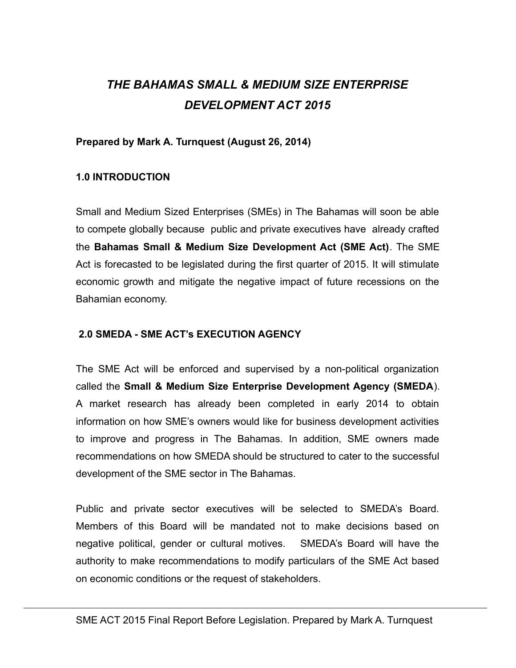# *THE BAHAMAS SMALL & MEDIUM SIZE ENTERPRISE DEVELOPMENT ACT 2015*

#### **Prepared by Mark A. Turnquest (August 26, 2014)**

#### **1.0 INTRODUCTION**

Small and Medium Sized Enterprises (SMEs) in The Bahamas will soon be able to compete globally because public and private executives have already crafted the **Bahamas Small & Medium Size Development Act (SME Act)**. The SME Act is forecasted to be legislated during the first quarter of 2015. It will stimulate economic growth and mitigate the negative impact of future recessions on the Bahamian economy.

#### **2.0 SMEDA - SME ACT's EXECUTION AGENCY**

The SME Act will be enforced and supervised by a non-political organization called the **Small & Medium Size Enterprise Development Agency (SMEDA**). A market research has already been completed in early 2014 to obtain information on how SME's owners would like for business development activities to improve and progress in The Bahamas. In addition, SME owners made recommendations on how SMEDA should be structured to cater to the successful development of the SME sector in The Bahamas.

Public and private sector executives will be selected to SMEDA's Board. Members of this Board will be mandated not to make decisions based on negative political, gender or cultural motives. SMEDA's Board will have the authority to make recommendations to modify particulars of the SME Act based on economic conditions or the request of stakeholders.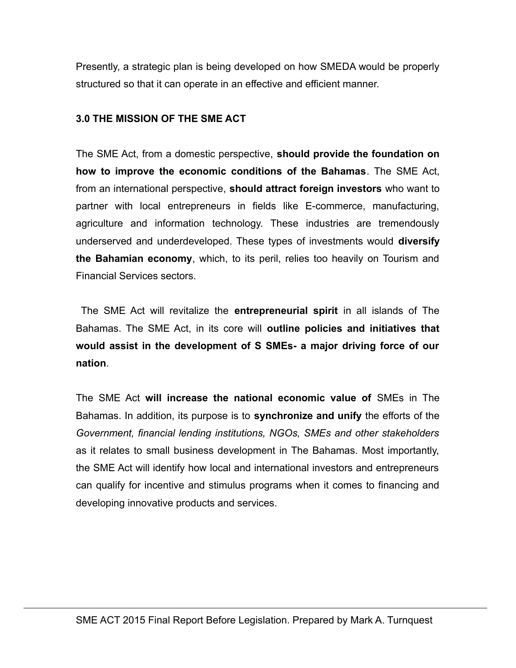Presently, a strategic plan is being developed on how SMEDA would be properly structured so that it can operate in an effective and efficient manner.

#### **3.0 THE MISSION OF THE SME ACT**

The SME Act, from a domestic perspective, **should provide the foundation on how to improve the economic conditions of the Bahamas**. The SME Act, from an international perspective, **should attract foreign investors** who want to partner with local entrepreneurs in fields like E-commerce, manufacturing, agriculture and information technology. These industries are tremendously underserved and underdeveloped. These types of investments would **diversify the Bahamian economy**, which, to its peril, relies too heavily on Tourism and Financial Services sectors.

 The SME Act will revitalize the **entrepreneurial spirit** in all islands of The Bahamas. The SME Act, in its core will **outline policies and initiatives that would assist in the development of S SMEs- a major driving force of our nation**.

The SME Act **will increase the national economic value of** SMEs in The Bahamas. In addition, its purpose is to **synchronize and unify** the efforts of the *Government, financial lending institutions, NGOs, SMEs and other stakeholders* as it relates to small business development in The Bahamas. Most importantly, the SME Act will identify how local and international investors and entrepreneurs can qualify for incentive and stimulus programs when it comes to financing and developing innovative products and services.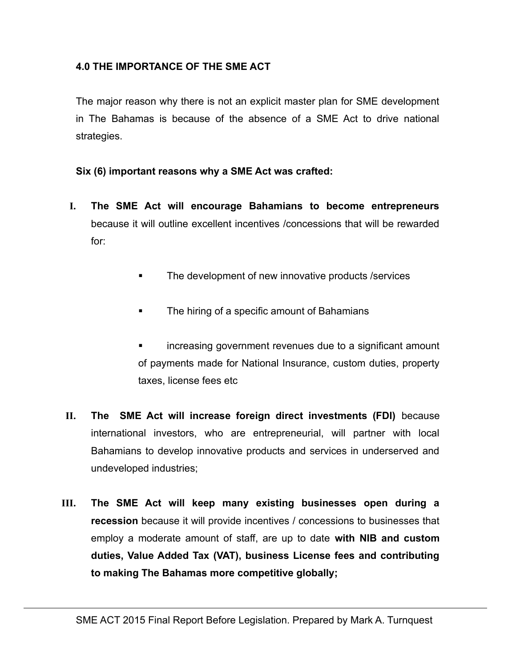#### **4.0 THE IMPORTANCE OF THE SME ACT**

The major reason why there is not an explicit master plan for SME development in The Bahamas is because of the absence of a SME Act to drive national strategies.

#### **Six (6) important reasons why a SME Act was crafted:**

- **I. The SME Act will encourage Bahamians to become entrepreneurs** because it will outline excellent incentives /concessions that will be rewarded for:
	- **The development of new innovative products /services**
	- The hiring of a specific amount of Bahamians
	- increasing government revenues due to a significant amount of payments made for National Insurance, custom duties, property taxes, license fees etc
- **II. The SME Act will increase foreign direct investments (FDI)** because international investors, who are entrepreneurial, will partner with local Bahamians to develop innovative products and services in underserved and undeveloped industries;
- **III. The SME Act will keep many existing businesses open during a recession** because it will provide incentives / concessions to businesses that employ a moderate amount of staff, are up to date **with NIB and custom duties, Value Added Tax (VAT), business License fees and contributing to making The Bahamas more competitive globally;**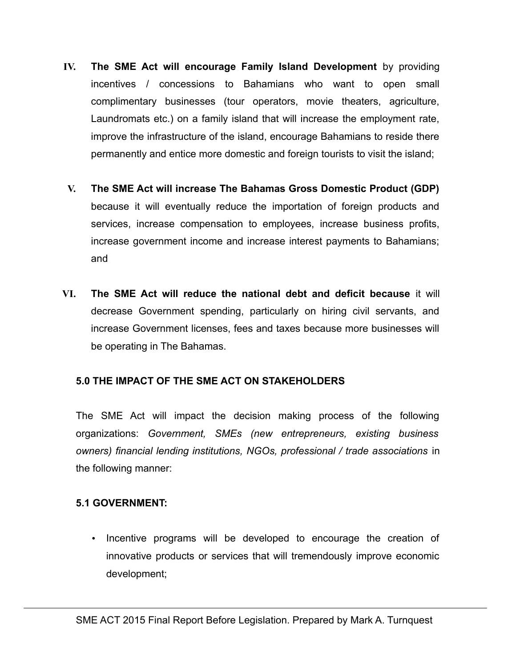- **IV. The SME Act will encourage Family Island Development** by providing incentives / concessions to Bahamians who want to open small complimentary businesses (tour operators, movie theaters, agriculture, Laundromats etc.) on a family island that will increase the employment rate, improve the infrastructure of the island, encourage Bahamians to reside there permanently and entice more domestic and foreign tourists to visit the island;
- **V. The SME Act will increase The Bahamas Gross Domestic Product (GDP)** because it will eventually reduce the importation of foreign products and services, increase compensation to employees, increase business profits, increase government income and increase interest payments to Bahamians; and
- **VI. The SME Act will reduce the national debt and deficit because** it will decrease Government spending, particularly on hiring civil servants, and increase Government licenses, fees and taxes because more businesses will be operating in The Bahamas.

#### **5.0 THE IMPACT OF THE SME ACT ON STAKEHOLDERS**

The SME Act will impact the decision making process of the following organizations: *Government, SMEs (new entrepreneurs, existing business owners) financial lending institutions, NGOs, professional / trade associations* in the following manner:

#### **5.1 GOVERNMENT:**

• Incentive programs will be developed to encourage the creation of innovative products or services that will tremendously improve economic development;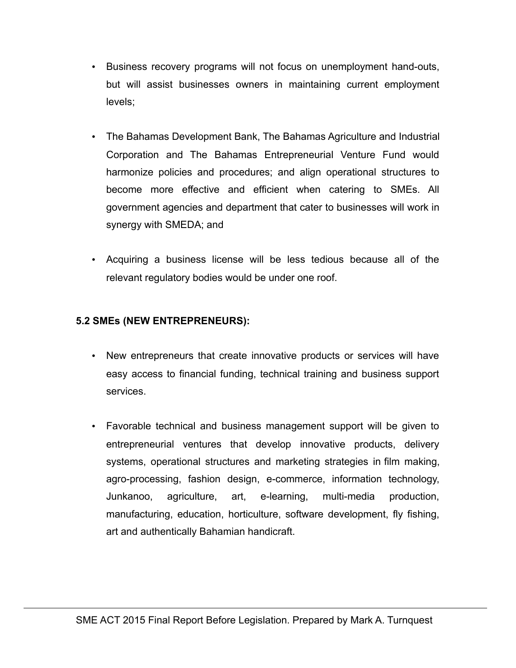- Business recovery programs will not focus on unemployment hand-outs, but will assist businesses owners in maintaining current employment levels;
- The Bahamas Development Bank, The Bahamas Agriculture and Industrial Corporation and The Bahamas Entrepreneurial Venture Fund would harmonize policies and procedures; and align operational structures to become more effective and efficient when catering to SMEs. All government agencies and department that cater to businesses will work in synergy with SMEDA; and
- Acquiring a business license will be less tedious because all of the relevant regulatory bodies would be under one roof.

## **5.2 SMEs (NEW ENTREPRENEURS):**

- New entrepreneurs that create innovative products or services will have easy access to financial funding, technical training and business support services.
- Favorable technical and business management support will be given to entrepreneurial ventures that develop innovative products, delivery systems, operational structures and marketing strategies in film making, agro-processing, fashion design, e-commerce, information technology, Junkanoo, agriculture, art, e-learning, multi-media production, manufacturing, education, horticulture, software development, fly fishing, art and authentically Bahamian handicraft.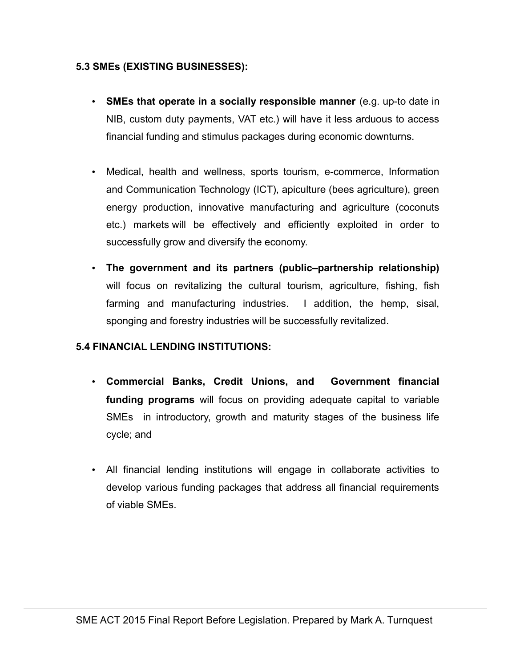#### **5.3 SMEs (EXISTING BUSINESSES):**

- **SMEs that operate in a socially responsible manner** (e.g. up-to date in NIB, custom duty payments, VAT etc.) will have it less arduous to access financial funding and stimulus packages during economic downturns.
- Medical, health and wellness, sports tourism, e-commerce, Information and Communication Technology (ICT), apiculture (bees agriculture), green energy production, innovative manufacturing and agriculture (coconuts etc.) markets will be effectively and efficiently exploited in order to successfully grow and diversify the economy.
- **The government and its partners (public–partnership relationship)** will focus on revitalizing the cultural tourism, agriculture, fishing, fish farming and manufacturing industries. I addition, the hemp, sisal, sponging and forestry industries will be successfully revitalized.

## **5.4 FINANCIAL LENDING INSTITUTIONS:**

- **Commercial Banks, Credit Unions, and Government financial funding programs** will focus on providing adequate capital to variable SMEs in introductory, growth and maturity stages of the business life cycle; and
- All financial lending institutions will engage in collaborate activities to develop various funding packages that address all financial requirements of viable SMEs.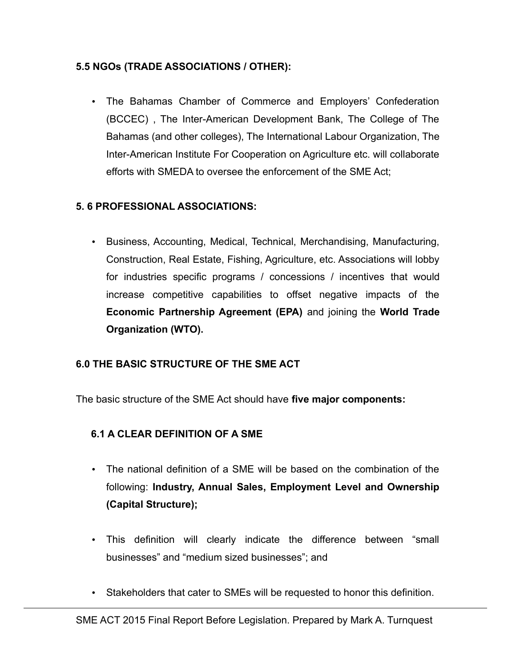## **5.5 NGOs (TRADE ASSOCIATIONS / OTHER):**

• The Bahamas Chamber of Commerce and Employers' Confederation (BCCEC) , The Inter-American Development Bank, The College of The Bahamas (and other colleges), The International Labour Organization, The Inter-American Institute For Cooperation on Agriculture etc. will collaborate efforts with SMEDA to oversee the enforcement of the SME Act;

## **5. 6 PROFESSIONAL ASSOCIATIONS:**

• Business, Accounting, Medical, Technical, Merchandising, Manufacturing, Construction, Real Estate, Fishing, Agriculture, etc. Associations will lobby for industries specific programs / concessions / incentives that would increase competitive capabilities to offset negative impacts of the **Economic Partnership Agreement (EPA)** and joining the **World Trade Organization (WTO).** 

#### **6.0 THE BASIC STRUCTURE OF THE SME ACT**

The basic structure of the SME Act should have **five major components:** 

## **6.1 A CLEAR DEFINITION OF A SME**

- The national definition of a SME will be based on the combination of the following: **Industry, Annual Sales, Employment Level and Ownership (Capital Structure);**
- This definition will clearly indicate the difference between "small businesses" and "medium sized businesses"; and
- Stakeholders that cater to SMEs will be requested to honor this definition.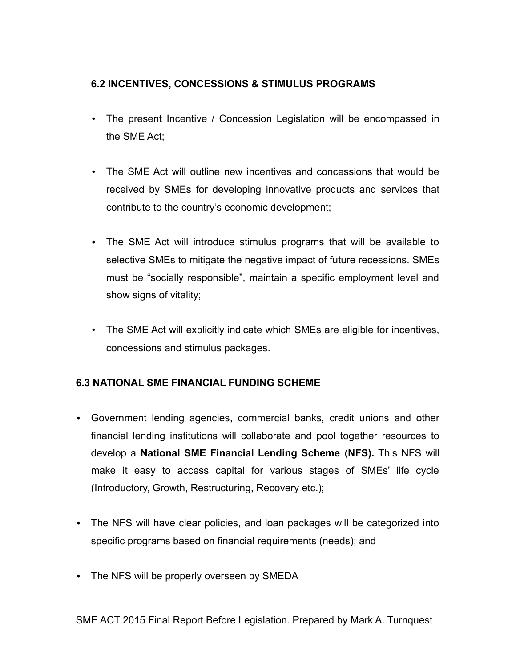## **6.2 INCENTIVES, CONCESSIONS & STIMULUS PROGRAMS**

- The present Incentive / Concession Legislation will be encompassed in the SME Act;
- The SME Act will outline new incentives and concessions that would be received by SMEs for developing innovative products and services that contribute to the country's economic development;
- The SME Act will introduce stimulus programs that will be available to selective SMEs to mitigate the negative impact of future recessions. SMEs must be "socially responsible", maintain a specific employment level and show signs of vitality;
- The SME Act will explicitly indicate which SMEs are eligible for incentives, concessions and stimulus packages.

# **6.3 NATIONAL SME FINANCIAL FUNDING SCHEME**

- Government lending agencies, commercial banks, credit unions and other financial lending institutions will collaborate and pool together resources to develop a **National SME Financial Lending Scheme** (**NFS).** This NFS will make it easy to access capital for various stages of SMEs' life cycle (Introductory, Growth, Restructuring, Recovery etc.);
- The NFS will have clear policies, and loan packages will be categorized into specific programs based on financial requirements (needs); and
- The NFS will be properly overseen by SMEDA